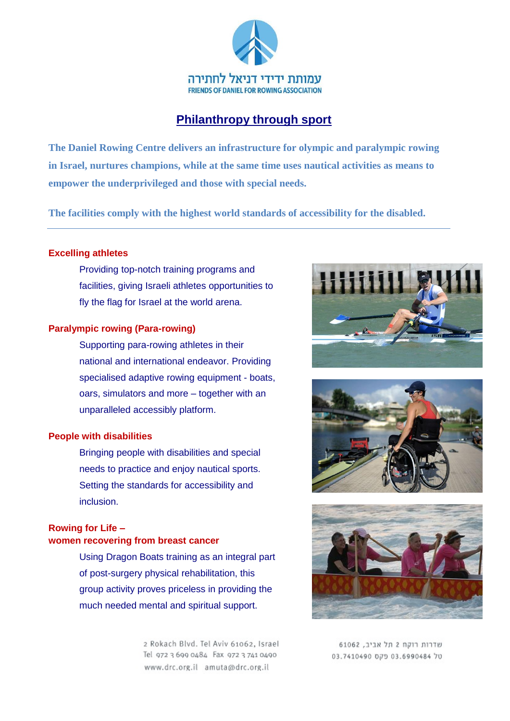

# **Philanthropy through sport**

**The Daniel Rowing Centre delivers an infrastructure for olympic and paralympic rowing in Israel, nurtures champions, while at the same time uses nautical activities as means to empower the underprivileged and those with special needs.** 

**The facilities comply with the highest world standards of accessibility for the disabled.**

# **Excelling athletes**

Providing top-notch training programs and facilities, giving Israeli athletes opportunities to fly the flag for Israel at the world arena.

### **Paralympic rowing (Para-rowing)**

Supporting para-rowing athletes in their national and international endeavor. Providing specialised adaptive rowing equipment - boats, oars, simulators and more – together with an unparalleled accessibly platform.

## **People with disabilities**

Bringing people with disabilities and special needs to practice and enjoy nautical sports. Setting the standards for accessibility and inclusion.

# **Rowing for Life – women recovering from breast cancer**

Using Dragon Boats training as an integral part of post-surgery physical rehabilitation, this group activity proves priceless in providing the much needed mental and spiritual support.

> 2 Rokach Blvd. Tel Aviv 61062, Israel Tel 972 3 699 0484 Fax 972 3 741 0490 www.drc.org.il amuta@drc.org.il







שדרות רוקח 2 תל אביב. 61062 03.7410490 079 03.6990484 70